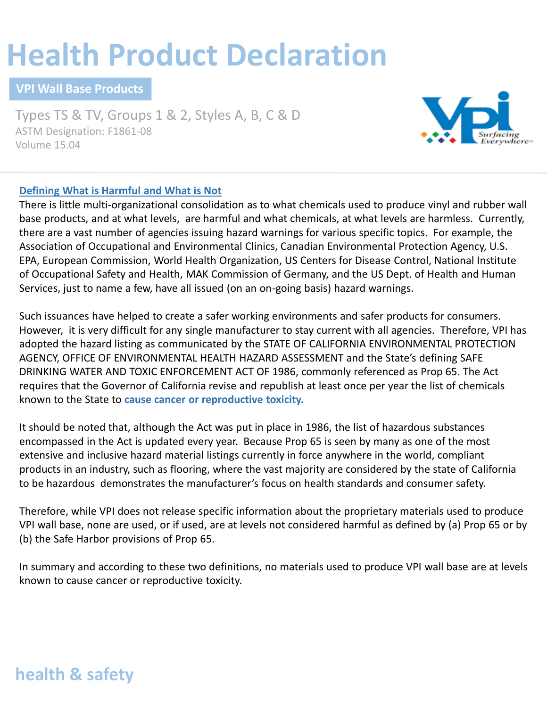# **Health Product Declaration**

**VPI Wall Base Products**

Types TS & TV, Groups 1 & 2, Styles A, B, C & D ASTM Designation: F1861-08 Volume 15.04



### **Defining What is Harmful and What is Not**

There is little multi-organizational consolidation as to what chemicals used to produce vinyl and rubber wall base products, and at what levels, are harmful and what chemicals, at what levels are harmless. Currently, there are a vast number of agencies issuing hazard warnings for various specific topics. For example, the Association of Occupational and Environmental Clinics, Canadian Environmental Protection Agency, U.S. EPA, European Commission, World Health Organization, US Centers for Disease Control, National Institute of Occupational Safety and Health, MAK Commission of Germany, and the US Dept. of Health and Human Services, just to name a few, have all issued (on an on-going basis) hazard warnings.

Such issuances have helped to create a safer working environments and safer products for consumers. However, it is very difficult for any single manufacturer to stay current with all agencies. Therefore, VPI has adopted the hazard listing as communicated by the STATE OF CALIFORNIA ENVIRONMENTAL PROTECTION AGENCY, OFFICE OF ENVIRONMENTAL HEALTH HAZARD ASSESSMENT and the State's defining SAFE DRINKING WATER AND TOXIC ENFORCEMENT ACT OF 1986, commonly referenced as Prop 65. The Act requires that the Governor of California revise and republish at least once per year the list of chemicals known to the State to **cause cancer or reproductive toxicity.**

It should be noted that, although the Act was put in place in 1986, the list of hazardous substances encompassed in the Act is updated every year. Because Prop 65 is seen by many as one of the most extensive and inclusive hazard material listings currently in force anywhere in the world, compliant products in an industry, such as flooring, where the vast majority are considered by the state of California to be hazardous demonstrates the manufacturer's focus on health standards and consumer safety.

Therefore, while VPI does not release specific information about the proprietary materials used to produce VPI wall base, none are used, or if used, are at levels not considered harmful as defined by (a) Prop 65 or by (b) the Safe Harbor provisions of Prop 65.

In summary and according to these two definitions, no materials used to produce VPI wall base are at levels known to cause cancer or reproductive toxicity.

## **health & safety**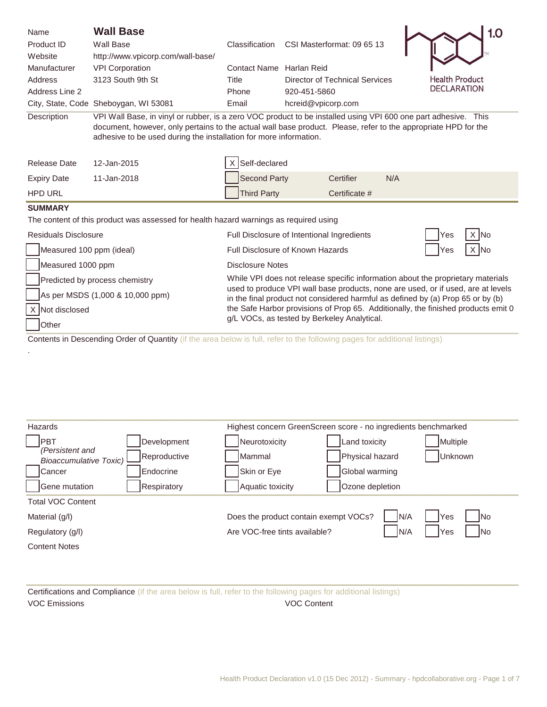| Name                                                                                                                                                                                                                                                                                                                 | <b>Wall Base</b>                                                                                                  |                                                                                                                                                                     |                    |                                       |     |                       | 1.0 |
|----------------------------------------------------------------------------------------------------------------------------------------------------------------------------------------------------------------------------------------------------------------------------------------------------------------------|-------------------------------------------------------------------------------------------------------------------|---------------------------------------------------------------------------------------------------------------------------------------------------------------------|--------------------|---------------------------------------|-----|-----------------------|-----|
| Product ID                                                                                                                                                                                                                                                                                                           | <b>Wall Base</b>                                                                                                  | Classification                                                                                                                                                      |                    | CSI Masterformat: 09 65 13            |     |                       |     |
| Website                                                                                                                                                                                                                                                                                                              | http://www.vpicorp.com/wall-base/                                                                                 |                                                                                                                                                                     |                    |                                       |     |                       |     |
| Manufacturer                                                                                                                                                                                                                                                                                                         | <b>VPI Corporation</b>                                                                                            | Contact Name Harlan Reid                                                                                                                                            |                    |                                       |     |                       |     |
| Address                                                                                                                                                                                                                                                                                                              | 3123 South 9th St                                                                                                 | Title                                                                                                                                                               |                    | <b>Director of Technical Services</b> |     | <b>Health Product</b> |     |
| Address Line 2                                                                                                                                                                                                                                                                                                       |                                                                                                                   | Phone                                                                                                                                                               | 920-451-5860       |                                       |     | <b>DECLARATION</b>    |     |
|                                                                                                                                                                                                                                                                                                                      | City, State, Code Sheboygan, WI 53081                                                                             | Email                                                                                                                                                               | hcreid@vpicorp.com |                                       |     |                       |     |
| VPI Wall Base, in vinyl or rubber, is a zero VOC product to be installed using VPI 600 one part adhesive. This<br>Description<br>document, however, only pertains to the actual wall base product. Please, refer to the appropriate HPD for the<br>adhesive to be used during the installation for more information. |                                                                                                                   |                                                                                                                                                                     |                    |                                       |     |                       |     |
| <b>Release Date</b>                                                                                                                                                                                                                                                                                                  | 12-Jan-2015                                                                                                       | Self-declared                                                                                                                                                       |                    |                                       |     |                       |     |
| <b>Expiry Date</b>                                                                                                                                                                                                                                                                                                   | 11-Jan-2018                                                                                                       | <b>Second Party</b>                                                                                                                                                 |                    | Certifier                             | N/A |                       |     |
| <b>HPD URL</b>                                                                                                                                                                                                                                                                                                       |                                                                                                                   | <b>Third Party</b>                                                                                                                                                  |                    | Certificate #                         |     |                       |     |
| <b>SUMMARY</b>                                                                                                                                                                                                                                                                                                       |                                                                                                                   |                                                                                                                                                                     |                    |                                       |     |                       |     |
|                                                                                                                                                                                                                                                                                                                      | The content of this product was assessed for health hazard warnings as required using                             |                                                                                                                                                                     |                    |                                       |     |                       |     |
| <b>Residuals Disclosure</b>                                                                                                                                                                                                                                                                                          |                                                                                                                   | Full Disclosure of Intentional Ingredients                                                                                                                          |                    |                                       |     | Yes                   | lNo |
| Measured 100 ppm (ideal)                                                                                                                                                                                                                                                                                             | Full Disclosure of Known Hazards<br>X IN <sub>o</sub><br>Yes                                                      |                                                                                                                                                                     |                    |                                       |     |                       |     |
|                                                                                                                                                                                                                                                                                                                      | Measured 1000 ppm<br><b>Disclosure Notes</b>                                                                      |                                                                                                                                                                     |                    |                                       |     |                       |     |
|                                                                                                                                                                                                                                                                                                                      | While VPI does not release specific information about the proprietary materials<br>Predicted by process chemistry |                                                                                                                                                                     |                    |                                       |     |                       |     |
|                                                                                                                                                                                                                                                                                                                      | As per MSDS (1,000 & 10,000 ppm)                                                                                  | used to produce VPI wall base products, none are used, or if used, are at levels<br>in the final product not considered harmful as defined by (a) Prop 65 or by (b) |                    |                                       |     |                       |     |
| Not disclosed                                                                                                                                                                                                                                                                                                        |                                                                                                                   | the Safe Harbor provisions of Prop 65. Additionally, the finished products emit 0<br>g/L VOCs, as tested by Berkeley Analytical.                                    |                    |                                       |     |                       |     |
| Other                                                                                                                                                                                                                                                                                                                |                                                                                                                   |                                                                                                                                                                     |                    |                                       |     |                       |     |
| Contents in Descending Order of Quantity (if the area below is full, refer to the following pages for additional listings)                                                                                                                                                                                           |                                                                                                                   |                                                                                                                                                                     |                    |                                       |     |                       |     |

| Hazards                                                          | Highest concern GreenScreen score - no ingredients benchmarked      |
|------------------------------------------------------------------|---------------------------------------------------------------------|
| <b>IPBT</b><br>Development                                       | Land toxicity<br>Neurotoxicity<br>Multiple                          |
| (Persistent and<br>Reproductive<br><b>Bioaccumulative Toxic)</b> | Physical hazard<br>Mammal<br>Unknown                                |
| Endocrine<br>Cancer                                              | Skin or Eye<br>Global warming                                       |
| <b>Gene mutation</b><br><b>Respiratory</b>                       | Aquatic toxicity<br>Ozone depletion                                 |
| <b>Total VOC Content</b>                                         |                                                                     |
| Material (g/l)                                                   | Does the product contain exempt VOCs?<br>IN/A<br>Yes<br><b>I</b> No |
| Regulatory (g/l)                                                 | N/A<br>Are VOC-free tints available?<br>Yes<br><b>INo</b>           |
| <b>Content Notes</b>                                             |                                                                     |
|                                                                  |                                                                     |

Certifications and Compliance (if the area below is full, refer to the following pages for additional listings) VOC Emissions VOC Content

.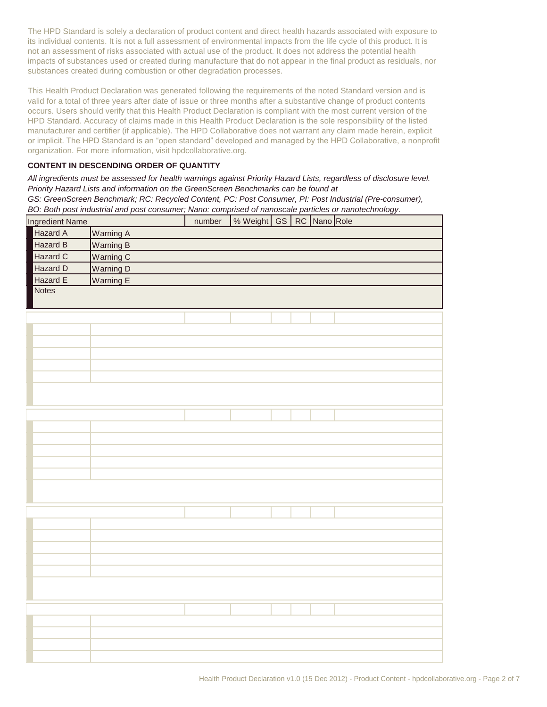The HPD Standard is solely a declaration of product content and direct health hazards associated with exposure to its individual contents. It is not a full assessment of environmental impacts from the life cycle of this product. It is not an assessment of risks associated with actual use of the product. It does not address the potential health impacts of substances used or created during manufacture that do not appear in the final product as residuals, nor substances created during combustion or other degradation processes.

This Health Product Declaration was generated following the requirements of the noted Standard version and is valid for a total of three years after date of issue or three months after a substantive change of product contents occurs. Users should verify that this Health Product Declaration is compliant with the most current version of the HPD Standard. Accuracy of claims made in this Health Product Declaration is the sole responsibility of the listed manufacturer and certifier (if applicable). The HPD Collaborative does not warrant any claim made herein, explicit or implicit. The HPD Standard is an "open standard" developed and managed by the HPD Collaborative, a nonprofit organization. For more information, visit hpdcollaborative.org.

#### **CONTENT IN DESCENDING ORDER OF QUANTITY**

BO: Both post industrial and post consumer; Nano: comprised of nanoscale particles or nanotechnology. *All ingredients must be assessed for health warnings against Priority Hazard Lists, regardless of disclosure level. Priority Hazard Lists and information on the GreenScreen Benchmarks can be found at*  GS: GreenScreen Benchmark; RC: Recycled Content, PC: Post Consumer, PI: Post Industrial (Pre-consumer),

| Ingredient Name |                  | number | % Weight GS RC Nano Role |  |  |
|-----------------|------------------|--------|--------------------------|--|--|
| Hazard A        | <b>Warning A</b> |        |                          |  |  |
| Hazard B        | <b>Warning B</b> |        |                          |  |  |
| Hazard C        | Warning C        |        |                          |  |  |
| Hazard D        | Warning D        |        |                          |  |  |
| Hazard E        | Warning E        |        |                          |  |  |
| <b>Notes</b>    |                  |        |                          |  |  |
|                 |                  |        |                          |  |  |
|                 |                  |        |                          |  |  |
|                 |                  |        |                          |  |  |
|                 |                  |        |                          |  |  |
|                 |                  |        |                          |  |  |
|                 |                  |        |                          |  |  |
|                 |                  |        |                          |  |  |
|                 |                  |        |                          |  |  |
|                 |                  |        |                          |  |  |
|                 |                  |        |                          |  |  |
|                 |                  |        |                          |  |  |
|                 |                  |        |                          |  |  |
|                 |                  |        |                          |  |  |
|                 |                  |        |                          |  |  |
|                 |                  |        |                          |  |  |
|                 |                  |        |                          |  |  |
|                 |                  |        |                          |  |  |
|                 |                  |        |                          |  |  |
|                 |                  |        |                          |  |  |
|                 |                  |        |                          |  |  |
|                 |                  |        |                          |  |  |
|                 |                  |        |                          |  |  |
|                 |                  |        |                          |  |  |
|                 |                  |        |                          |  |  |
|                 |                  |        |                          |  |  |
|                 |                  |        |                          |  |  |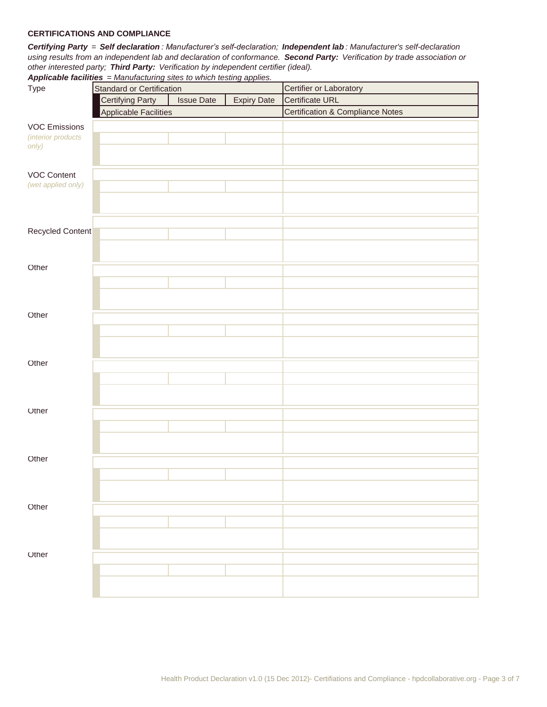#### **CERTIFICATIONS AND COMPLIANCE**

*Certifying Party = Self declaration : Manufacturer's self-declaration; Independent lab : Manufacturer's self-declaration using results from an independent lab and declaration of conformance. Second Party: Verification by trade association or other interested party; Third Party: Verification by independent certifier (ideal). Applicable facilities = Manufacturing sites to which testing applies.* 

| Type                 | Standard or Certification    |                   |                    | Certifier or Laboratory                     |  |  |
|----------------------|------------------------------|-------------------|--------------------|---------------------------------------------|--|--|
|                      | <b>Certifying Party</b>      | <b>Issue Date</b> | <b>Expiry Date</b> | <b>Certificate URL</b>                      |  |  |
|                      | <b>Applicable Facilities</b> |                   |                    | <b>Certification &amp; Compliance Notes</b> |  |  |
| <b>VOC Emissions</b> |                              |                   |                    |                                             |  |  |
| (interior products   |                              |                   |                    |                                             |  |  |
| only)                |                              |                   |                    |                                             |  |  |
|                      |                              |                   |                    |                                             |  |  |
| <b>VOC Content</b>   |                              |                   |                    |                                             |  |  |
| (wet applied only)   |                              |                   |                    |                                             |  |  |
|                      |                              |                   |                    |                                             |  |  |
|                      |                              |                   |                    |                                             |  |  |
|                      |                              |                   |                    |                                             |  |  |
| Recycled Content     |                              |                   |                    |                                             |  |  |
|                      |                              |                   |                    |                                             |  |  |
|                      |                              |                   |                    |                                             |  |  |
| Other                |                              |                   |                    |                                             |  |  |
|                      |                              |                   |                    |                                             |  |  |
|                      |                              |                   |                    |                                             |  |  |
|                      |                              |                   |                    |                                             |  |  |
| Other                |                              |                   |                    |                                             |  |  |
|                      |                              |                   |                    |                                             |  |  |
|                      |                              |                   |                    |                                             |  |  |
|                      |                              |                   |                    |                                             |  |  |
| Other                |                              |                   |                    |                                             |  |  |
|                      |                              |                   |                    |                                             |  |  |
|                      |                              |                   |                    |                                             |  |  |
| Other                |                              |                   |                    |                                             |  |  |
|                      |                              |                   |                    |                                             |  |  |
|                      |                              |                   |                    |                                             |  |  |
|                      |                              |                   |                    |                                             |  |  |
| Other                |                              |                   |                    |                                             |  |  |
|                      |                              |                   |                    |                                             |  |  |
|                      |                              |                   |                    |                                             |  |  |
|                      |                              |                   |                    |                                             |  |  |
| Other                |                              |                   |                    |                                             |  |  |
|                      |                              |                   |                    |                                             |  |  |
|                      |                              |                   |                    |                                             |  |  |
|                      |                              |                   |                    |                                             |  |  |
| Other                |                              |                   |                    |                                             |  |  |
|                      |                              |                   |                    |                                             |  |  |
|                      |                              |                   |                    |                                             |  |  |
|                      |                              |                   |                    |                                             |  |  |
|                      |                              |                   |                    |                                             |  |  |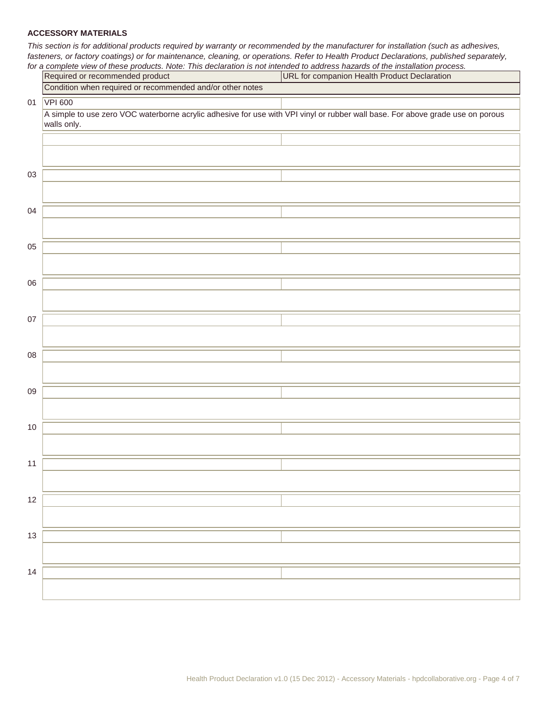#### **ACCESSORY MATERIALS**

*This section is for additional products required by warranty or recommended by the manufacturer for installation (such as adhesives, fasteners, or factory coatings) or for maintenance, cleaning, or operations. Refer to Health Product Declarations, published separately,* 

|      | for a complete view of these products. Note: This declaration is not intended to address hazards of the installation process.                 |                                              |  |  |  |  |  |
|------|-----------------------------------------------------------------------------------------------------------------------------------------------|----------------------------------------------|--|--|--|--|--|
|      | Required or recommended product                                                                                                               | URL for companion Health Product Declaration |  |  |  |  |  |
|      | Condition when required or recommended and/or other notes                                                                                     |                                              |  |  |  |  |  |
| 01   | <b>VPI 600</b>                                                                                                                                |                                              |  |  |  |  |  |
|      | A simple to use zero VOC waterborne acrylic adhesive for use with VPI vinyl or rubber wall base. For above grade use on porous<br>walls only. |                                              |  |  |  |  |  |
|      |                                                                                                                                               |                                              |  |  |  |  |  |
|      |                                                                                                                                               |                                              |  |  |  |  |  |
| 03   |                                                                                                                                               |                                              |  |  |  |  |  |
|      |                                                                                                                                               |                                              |  |  |  |  |  |
| 04   |                                                                                                                                               |                                              |  |  |  |  |  |
|      |                                                                                                                                               |                                              |  |  |  |  |  |
| 05   |                                                                                                                                               |                                              |  |  |  |  |  |
|      |                                                                                                                                               |                                              |  |  |  |  |  |
| 06   |                                                                                                                                               |                                              |  |  |  |  |  |
|      |                                                                                                                                               |                                              |  |  |  |  |  |
| 07   |                                                                                                                                               |                                              |  |  |  |  |  |
|      |                                                                                                                                               |                                              |  |  |  |  |  |
| 08   |                                                                                                                                               |                                              |  |  |  |  |  |
|      |                                                                                                                                               |                                              |  |  |  |  |  |
| 09   |                                                                                                                                               |                                              |  |  |  |  |  |
|      |                                                                                                                                               |                                              |  |  |  |  |  |
| $10$ |                                                                                                                                               |                                              |  |  |  |  |  |
|      |                                                                                                                                               |                                              |  |  |  |  |  |
| 11   |                                                                                                                                               |                                              |  |  |  |  |  |
|      |                                                                                                                                               |                                              |  |  |  |  |  |
| 12   |                                                                                                                                               |                                              |  |  |  |  |  |
|      |                                                                                                                                               |                                              |  |  |  |  |  |
| 13   |                                                                                                                                               |                                              |  |  |  |  |  |
|      |                                                                                                                                               |                                              |  |  |  |  |  |
| 14   |                                                                                                                                               |                                              |  |  |  |  |  |
|      |                                                                                                                                               |                                              |  |  |  |  |  |
|      |                                                                                                                                               |                                              |  |  |  |  |  |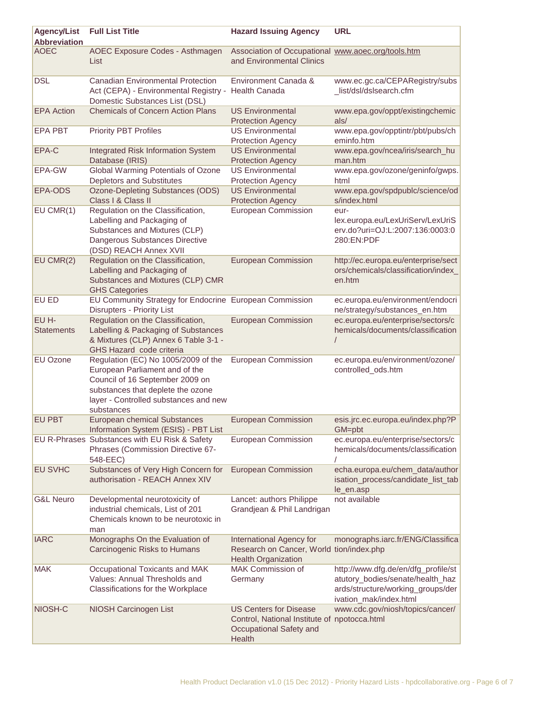| <b>Agency/List</b><br><b>Abbreviation</b> | <b>Full List Title</b>                                                                                                                                                                               | <b>Hazard Issuing Agency</b>                                                                                       | <b>URL</b>                                                                                                                             |
|-------------------------------------------|------------------------------------------------------------------------------------------------------------------------------------------------------------------------------------------------------|--------------------------------------------------------------------------------------------------------------------|----------------------------------------------------------------------------------------------------------------------------------------|
| <b>AOEC</b>                               | AOEC Exposure Codes - Asthmagen<br>List                                                                                                                                                              | Association of Occupational www.aoec.org/tools.htm<br>and Environmental Clinics                                    |                                                                                                                                        |
| <b>DSL</b>                                | <b>Canadian Environmental Protection</b><br>Act (CEPA) - Environmental Registry -<br>Domestic Substances List (DSL)                                                                                  | Environment Canada &<br><b>Health Canada</b>                                                                       | www.ec.gc.ca/CEPARegistry/subs<br>_list/dsl/dslsearch.cfm                                                                              |
| <b>EPA Action</b>                         | <b>Chemicals of Concern Action Plans</b>                                                                                                                                                             | <b>US Environmental</b><br><b>Protection Agency</b>                                                                | www.epa.gov/oppt/existingchemic<br>als/                                                                                                |
| <b>EPA PBT</b>                            | <b>Priority PBT Profiles</b>                                                                                                                                                                         | <b>US Environmental</b><br><b>Protection Agency</b>                                                                | www.epa.gov/opptintr/pbt/pubs/ch<br>eminfo.htm                                                                                         |
| EPA-C                                     | <b>Integrated Risk Information System</b><br>Database (IRIS)                                                                                                                                         | <b>US Environmental</b><br><b>Protection Agency</b>                                                                | www.epa.gov/ncea/iris/search_hu<br>man.htm                                                                                             |
| <b>EPA-GW</b>                             | Global Warming Potentials of Ozone<br><b>Depletors and Substitutes</b>                                                                                                                               | <b>US Environmental</b><br><b>Protection Agency</b>                                                                | www.epa.gov/ozone/geninfo/gwps.<br>html                                                                                                |
| EPA-ODS                                   | Ozone-Depleting Substances (ODS)<br>Class I & Class II                                                                                                                                               | <b>US Environmental</b><br><b>Protection Agency</b>                                                                | www.epa.gov/spdpublc/science/od<br>s/index.html                                                                                        |
| $EU$ CMR $(1)$                            | Regulation on the Classification,<br>Labelling and Packaging of<br>Substances and Mixtures (CLP)<br>Dangerous Substances Directive<br>(DSD) REACH Annex XVII                                         | <b>European Commission</b>                                                                                         | eur-<br>lex.europa.eu/LexUriServ/LexUriS<br>erv.do?uri=OJ:L:2007:136:0003:0<br>280:EN:PDF                                              |
| $EU$ CMR $(2)$                            | Regulation on the Classification,<br>Labelling and Packaging of<br>Substances and Mixtures (CLP) CMR<br><b>GHS Categories</b>                                                                        | <b>European Commission</b>                                                                                         | http://ec.europa.eu/enterprise/sect<br>ors/chemicals/classification/index_<br>en.htm                                                   |
| <b>EU ED</b>                              | EU Community Strategy for Endocrine European Commission<br><b>Disrupters - Priority List</b>                                                                                                         |                                                                                                                    | ec.europa.eu/environment/endocri<br>ne/strategy/substances_en.htm                                                                      |
| EU H-<br><b>Statements</b>                | Regulation on the Classification,<br>Labelling & Packaging of Substances<br>& Mixtures (CLP) Annex 6 Table 3-1 -<br>GHS Hazard code criteria                                                         | <b>European Commission</b>                                                                                         | ec.europa.eu/enterprise/sectors/c<br>hemicals/documents/classification                                                                 |
| <b>EU Ozone</b>                           | Regulation (EC) No 1005/2009 of the<br>European Parliament and of the<br>Council of 16 September 2009 on<br>substances that deplete the ozone<br>layer - Controlled substances and new<br>substances | <b>European Commission</b>                                                                                         | ec.europa.eu/environment/ozone/<br>controlled_ods.htm                                                                                  |
| <b>EU PBT</b>                             | <b>European chemical Substances</b><br>Information System (ESIS) - PBT List                                                                                                                          | <b>European Commission</b>                                                                                         | esis.jrc.ec.europa.eu/index.php?P<br>GM=pbt                                                                                            |
|                                           | EU R-Phrases Substances with EU Risk & Safety<br>Phrases (Commission Directive 67-<br>548-EEC)                                                                                                       | European Commission                                                                                                | ec.europa.eu/enterprise/sectors/c<br>hemicals/documents/classification                                                                 |
| <b>EU SVHC</b>                            | Substances of Very High Concern for<br>authorisation - REACH Annex XIV                                                                                                                               | <b>European Commission</b>                                                                                         | echa.europa.eu/chem_data/author<br>isation_process/candidate_list_tab<br>le_en.asp                                                     |
| <b>G&amp;L Neuro</b>                      | Developmental neurotoxicity of<br>industrial chemicals, List of 201<br>Chemicals known to be neurotoxic in<br>man                                                                                    | Lancet: authors Philippe<br>Grandjean & Phil Landrigan                                                             | not available                                                                                                                          |
| <b>IARC</b>                               | Monographs On the Evaluation of<br>Carcinogenic Risks to Humans                                                                                                                                      | International Agency for<br>Research on Cancer, World tion/index.php<br><b>Health Organization</b>                 | monographs.iarc.fr/ENG/Classifica                                                                                                      |
| <b>MAK</b>                                | Occupational Toxicants and MAK<br>Values: Annual Thresholds and<br>Classifications for the Workplace                                                                                                 | MAK Commission of<br>Germany                                                                                       | http://www.dfg.de/en/dfg_profile/st<br>atutory_bodies/senate/health_haz<br>ards/structure/working_groups/der<br>ivation_mak/index.html |
| NIOSH-C                                   | NIOSH Carcinogen List                                                                                                                                                                                | <b>US Centers for Disease</b><br>Control, National Institute of npotocca.html<br>Occupational Safety and<br>Health | www.cdc.gov/niosh/topics/cancer/                                                                                                       |